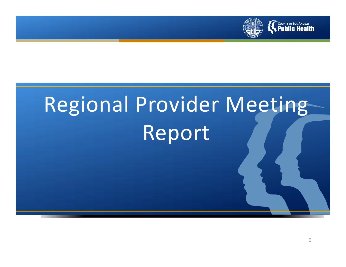

# Regional Provider Meeting Report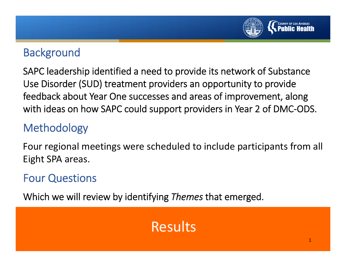

#### **Background**

SAPC leadership identified <sup>a</sup> need to provide its network of Substance Use Disorder (SUD) treatment providers an opportunity to provide feedback about Year One successes and areas of improvement, along with ideas on how SAPC could support providers in Year 2 of DMC‐ODS.

#### Methodology

Four regional meetings were scheduled to include participants from all Eight SPA areas.

#### Four Questions

Which we will review by identifying *Themes* that emerged.

#### Results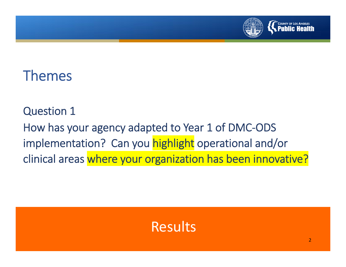

#### Themes

Question 1 How has your agency adapted to Year 1 of DMC‐ODS implementation? Can you highlight operational and/or clinical areas where your organization has been innovative?

#### Results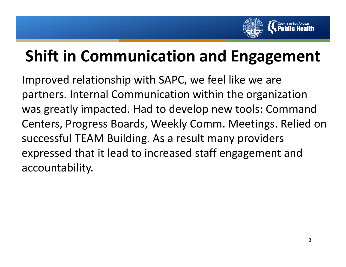

## **Shift in Communication and Engagement**

Improved relationship with SAPC, we feel like we are partners. Internal Communication within the organization was greatly impacted. Had to develop new tools: Command Centers, Progress Boards, Weekly Comm. Meetings. Relied on successful TEAM Building. As <sup>a</sup> result many providers expressed that it lead to increased staff engagement and accountability.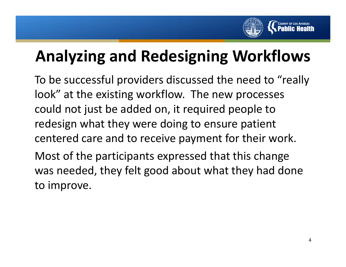

## **Analyzing and Redesigning Workflows**

To be successful providers discussed the need to "really look" at the existing workflow. The new processes could not just be added on, it required people to redesign what they were doing to ensure patient centered care and to receive payment for their work. Most of the participants expressed that this change

was needed, they felt good about what they had done to improve.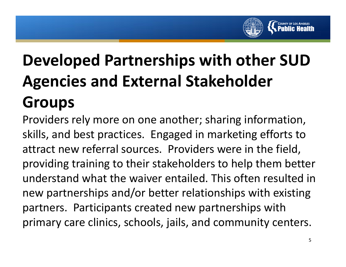

# **Developed Partnerships with other SUD Agencies and External Stakeholder Groups**

Providers rely more on one another; sharing information, skills, and best practices. Engaged in marketing efforts to attract new referral sources. Providers were in the field, providing training to their stakeholders to help them better understand what the waiver entailed. This often resulted in new partnerships and/or better relationships with existing partners. Participants created new partnerships with primary care clinics, schools, jails, and community centers.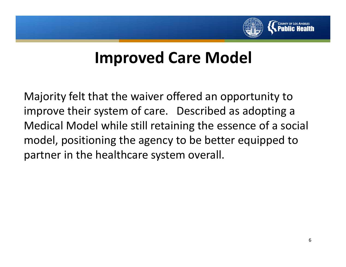

#### **Improved Care Model**

Majority felt that the waiver offered an opportunity to improve their system of care. Described as adopting <sup>a</sup> Medical Model while still retaining the essence of <sup>a</sup> social model, positioning the agency to be better equipped to partner in the healthcare system overall.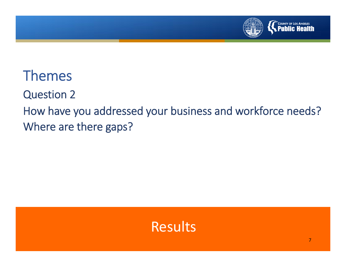

ThemesQuestion 2 How have you addressed your business and workforce needs? Where are there gaps?

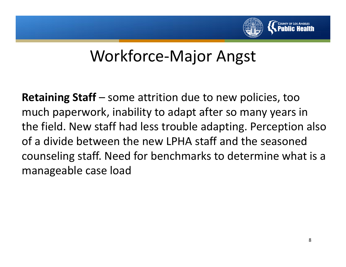

**Retaining Staff** – some attrition due to new policies, too much paperwork, inability to adapt after so many years in the field. New staff had less trouble adapting. Perception also of a divide between the new LPHA staff and the seasoned counseling staff. Need for benchmarks to determine what is <sup>a</sup> manageable case load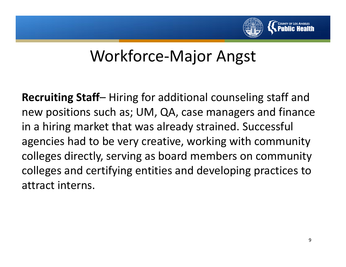

**Recruiting Staff**– Hiring for additional counseling staff and new positions such as; UM, QA, case managers and finance in <sup>a</sup> hiring market that was already strained. Successful agencies had to be very creative, working with community colleges directly, serving as board members on community colleges and certifying entities and developing practices to attract interns.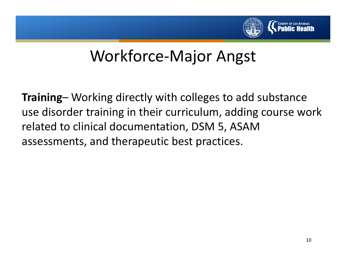

**Training**– Working directly with colleges to add substance use disorder training in their curriculum, adding course work related to clinical documentation, DSM 5, ASAM assessments, and therapeutic best practices.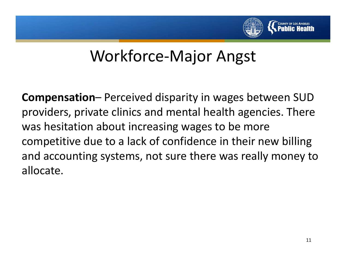

**Compensation**– Perceived disparity in wages between SUD providers, private clinics and mental health agencies. There was hesitation about increasing wages to be more competitive due to <sup>a</sup> lack of confidence in their new billing and accounting systems, not sure there was really money to allocate.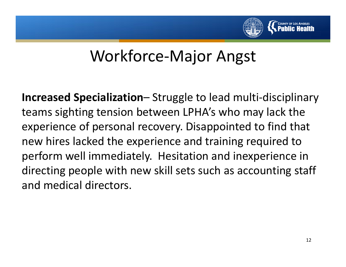

**Increased Specialization**– Struggle to lead multi‐disciplinary teams sighting tension between LPHA's who may lack the experience of personal recovery. Disappointed to find that new hires lacked the experience and training required to perform well immediately. Hesitation and inexperience in directing people with new skill sets such as accounting staff and medical directors.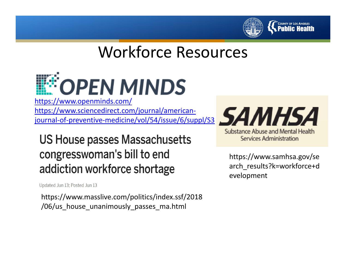

#### Workforce Resources



journal‐of‐preventive‐medicine/vol/54/issue/6/suppl/S3

**US House passes Massachusetts** congresswoman's bill to end addiction workforce shortage

Updated Jun 13; Posted Jun 13

https://www.masslive.com/politics/index.ssf/2018 /06/us\_house\_unanimously\_passes\_ma.html

**Substance Abuse and Mental Health Services Administration** 

https://www.samhsa.gov/se arch\_results?k=workforce+d evelopment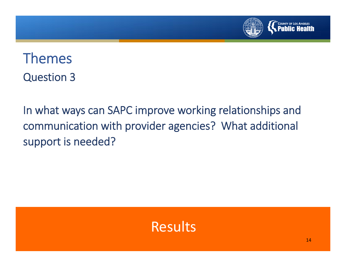

ThemesQuestion 3

In what ways can SAPC improve working relationships and communication with provider agencies? What additional support is needed?

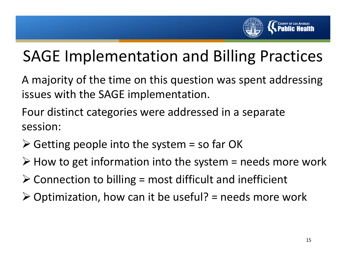

## SAGE Implementation and Billing Practices

A majority of the time on this question was spent addressing issues with the SAGE implementation.

Four distinct categories were addressed in <sup>a</sup> separate session:

- $\triangleright$  Getting people into the system = so far OK
- $\triangleright$  How to get information into the system = needs more work
- $\triangleright$  Connection to billing = most difficult and inefficient
- $\triangleright$  Optimization, how can it be useful? = needs more work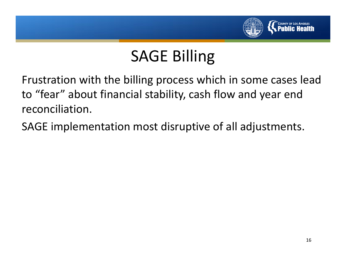

## SAGE Billing

Frustration with the billing process which in some cases lead to "fear" about financial stability, cash flow and year end reconciliation.

SAGE implementation most disruptive of all adjustments.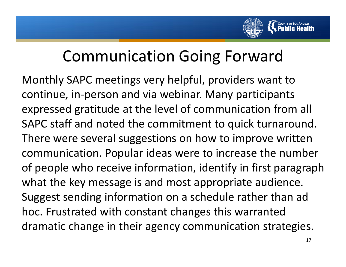

#### Communication Going Forward

Monthly SAPC meetings very helpful, providers want to continue, in‐person and via webinar. Many participants expressed gratitude at the level of communication from all SAPC staff and noted the commitment to quick turnaround. There were several suggestions on how to improve written communication. Popular ideas were to increase the number of people who receive information, identify in first paragraph what the key message is and most appropriate audience. Suggest sending information on <sup>a</sup> schedule rather than ad hoc. Frustrated with constant changes this warranted dramatic change in their agency communication strategies.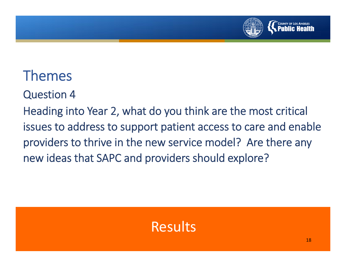

# Themes

Question 4

Heading into Year 2, what do you think are the most critical issues to address to support patient access to care and enable providers to thrive in the new service model? Are there any new ideas that SAPC and providers should explore?

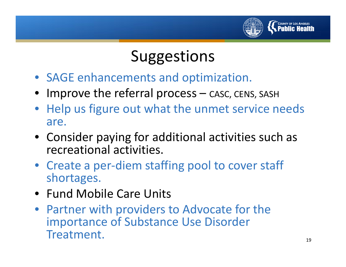

#### **Suggestions**

- SAGE enhancements and optimization.
- •Improve the referral process – CASC, CENS, SASH
- Help us figure out what the unmet service needs are.
- Consider paying for additional activities such as recreational activities.
- Create a per-diem staffing pool to cover staff shortages.
- Fund Mobile Care Units
- Partner with providers to Advocate for the importance of Substance Use Disorder Treatment.19